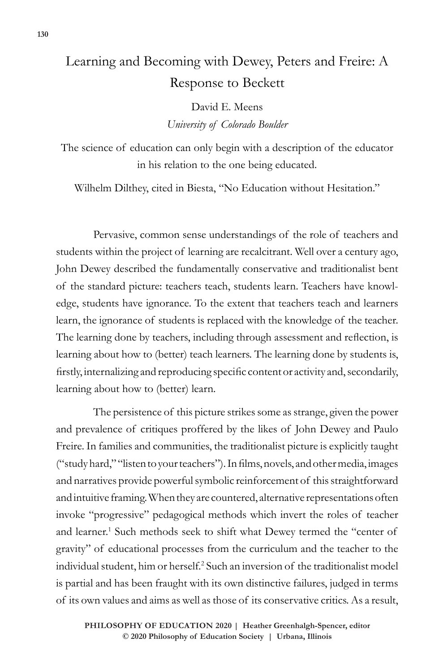## Learning and Becoming with Dewey, Peters and Freire: A Response to Beckett

David E. Meens *University of Colorado Boulder* 

The science of education can only begin with a description of the educator in his relation to the one being educated.

Wilhelm Dilthey, cited in Biesta, "No Education without Hesitation."

Pervasive, common sense understandings of the role of teachers and students within the project of learning are recalcitrant. Well over a century ago, John Dewey described the fundamentally conservative and traditionalist bent of the standard picture: teachers teach, students learn. Teachers have knowledge, students have ignorance. To the extent that teachers teach and learners learn, the ignorance of students is replaced with the knowledge of the teacher. The learning done by teachers, including through assessment and reflection, is learning about how to (better) teach learners. The learning done by students is, firstly, internalizing and reproducing specific content or activity and, secondarily, learning about how to (better) learn.

The persistence of this picture strikes some as strange, given the power and prevalence of critiques proffered by the likes of John Dewey and Paulo Freire. In families and communities, the traditionalist picture is explicitly taught ("study hard," "listen to your teachers"). In films, novels, and other media, images and narratives provide powerful symbolic reinforcement of this straightforward and intuitive framing. When they are countered, alternative representations often invoke "progressive" pedagogical methods which invert the roles of teacher and learner.<sup>1</sup> Such methods seek to shift what Dewey termed the "center of gravity" of educational processes from the curriculum and the teacher to the individual student, him or herself.2 Such an inversion of the traditionalist model is partial and has been fraught with its own distinctive failures, judged in terms of its own values and aims as well as those of its conservative critics. As a result,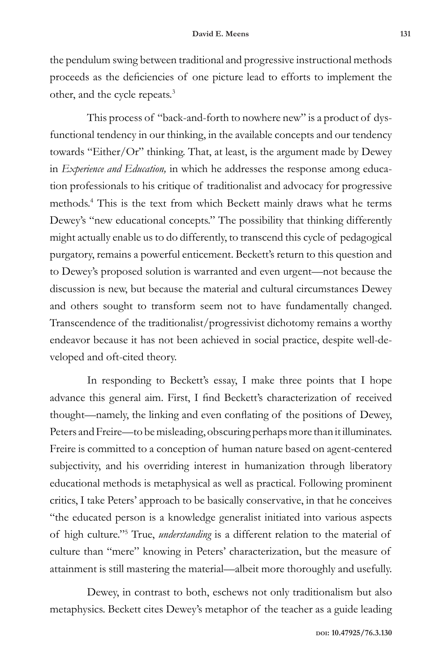the pendulum swing between traditional and progressive instructional methods proceeds as the deficiencies of one picture lead to efforts to implement the other, and the cycle repeats.<sup>3</sup>

This process of "back-and-forth to nowhere new" is a product of dysfunctional tendency in our thinking, in the available concepts and our tendency towards "Either/Or" thinking. That, at least, is the argument made by Dewey in *Experience and Education,* in which he addresses the response among education professionals to his critique of traditionalist and advocacy for progressive methods.4 This is the text from which Beckett mainly draws what he terms Dewey's "new educational concepts." The possibility that thinking differently might actually enable us to do differently, to transcend this cycle of pedagogical purgatory, remains a powerful enticement. Beckett's return to this question and to Dewey's proposed solution is warranted and even urgent—not because the discussion is new, but because the material and cultural circumstances Dewey and others sought to transform seem not to have fundamentally changed. Transcendence of the traditionalist/progressivist dichotomy remains a worthy endeavor because it has not been achieved in social practice, despite well-developed and oft-cited theory.

In responding to Beckett's essay, I make three points that I hope advance this general aim. First, I find Beckett's characterization of received thought—namely, the linking and even conflating of the positions of Dewey, Peters and Freire—to be misleading, obscuring perhaps more than it illuminates. Freire is committed to a conception of human nature based on agent-centered subjectivity, and his overriding interest in humanization through liberatory educational methods is metaphysical as well as practical. Following prominent critics, I take Peters' approach to be basically conservative, in that he conceives "the educated person is a knowledge generalist initiated into various aspects of high culture."5 True, *understanding* is a different relation to the material of culture than "mere" knowing in Peters' characterization, but the measure of attainment is still mastering the material—albeit more thoroughly and usefully.

Dewey, in contrast to both, eschews not only traditionalism but also metaphysics. Beckett cites Dewey's metaphor of the teacher as a guide leading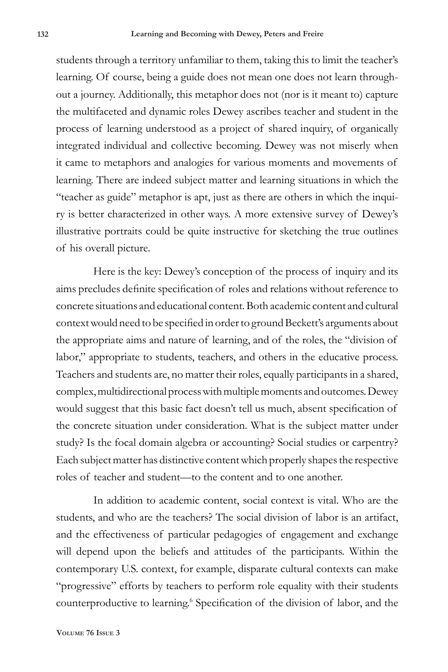students through a territory unfamiliar to them, taking this to limit the teacher's learning. Of course, being a guide does not mean one does not learn throughout a journey. Additionally, this metaphor does not (nor is it meant to) capture the multifaceted and dynamic roles Dewey ascribes teacher and student in the process of learning understood as a project of shared inquiry, of organically integrated individual and collective becoming. Dewey was not miserly when it came to metaphors and analogies for various moments and movements of learning. There are indeed subject matter and learning situations in which the "teacher as guide" metaphor is apt, just as there are others in which the inquiry is better characterized in other ways. A more extensive survey of Dewey's illustrative portraits could be quite instructive for sketching the true outlines of his overall picture.

Here is the key: Dewey's conception of the process of inquiry and its aims precludes definite specification of roles and relations without reference to concrete situations and educational content. Both academic content and cultural context would need to be specified in order to ground Beckett's arguments about the appropriate aims and nature of learning, and of the roles, the "division of labor," appropriate to students, teachers, and others in the educative process. Teachers and students are, no matter their roles, equally participants in a shared, complex, multidirectional process with multiple moments and outcomes. Dewey would suggest that this basic fact doesn't tell us much, absent specification of the concrete situation under consideration. What is the subject matter under study? Is the focal domain algebra or accounting? Social studies or carpentry? Each subject matter has distinctive content which properly shapes the respective roles of teacher and student—to the content and to one another.

In addition to academic content, social context is vital. Who are the students, and who are the teachers? The social division of labor is an artifact, and the effectiveness of particular pedagogies of engagement and exchange will depend upon the beliefs and attitudes of the participants. Within the contemporary U.S. context, for example, disparate cultural contexts can make "progressive" efforts by teachers to perform role equality with their students counterproductive to learning.<sup>6</sup> Specification of the division of labor, and the